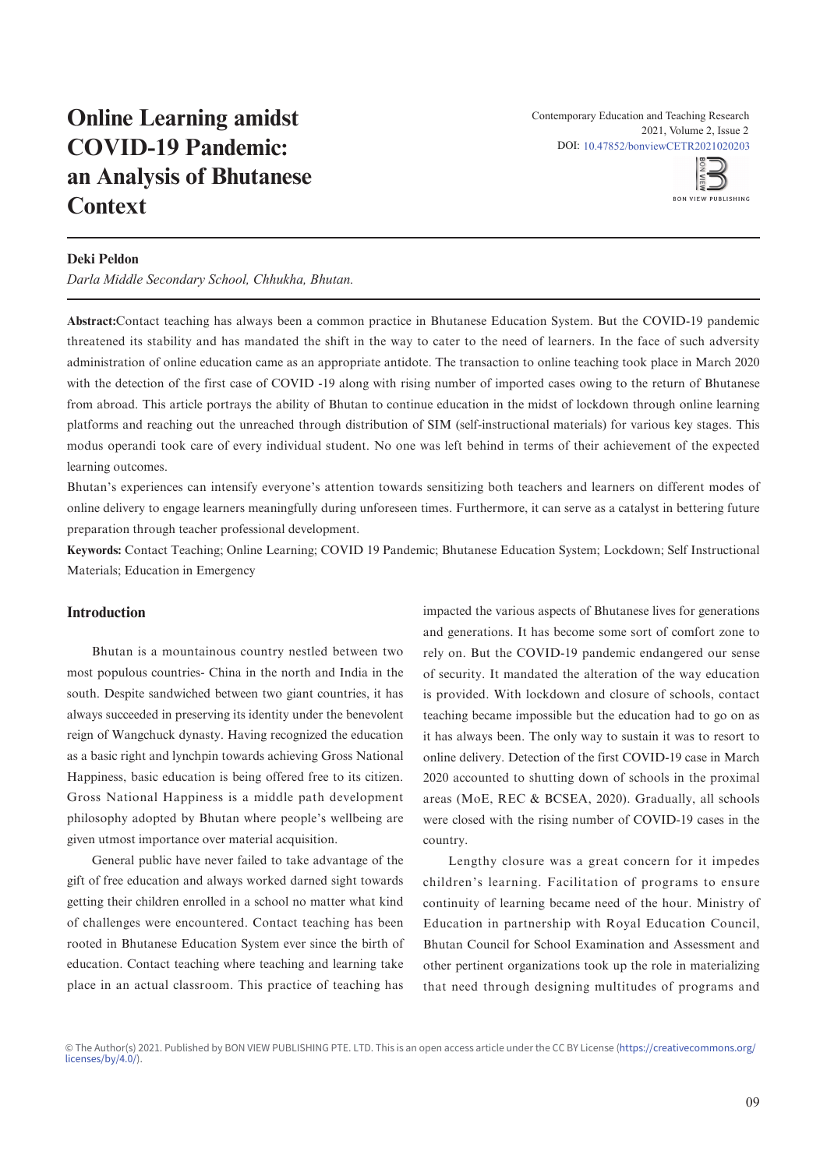# **Online Learning amidst** COVID-19 Pandemic: an Analysis of Bhutanese  $\mathbf{Conext}$ **Context** an Analysis of Dilutanese  $\frac{1}{\sqrt{2}}$



### **Deki Peldon**

Darla Middle Secondary School, Chhukha, Bhutan.

administration of online education came as an appropriate antidote. The transaction to online teaching took place in March 2020 management and recycle (SWMR) in one of the colleges of education in Bhutan. A structured online survey questionnaire was with the detection of the first case of COVID -19 along with rising number of imported cases owing to the return of Bhutanese from abroad. This article portrays the ability of Bhutan to continue education in the midst of lockdown through online learning platforms and reaching out the unreached through distribution of SIM (self-instructional materials) for various key stages. This independent samples test revealed that the only statistically significant difference between the gender is observed in theme concern modus operandi took care of every individual student. No one was left behind in terms of their achievement of the expected learning outcomes. The teaching subjects are the three three three three three three three three three three three three three three three three three three three three three three three three three three three three three **Abstract:**Contact teaching has always been a common practice in Bhutanese Education System. But the COVID-19 pandemic threatened its stability and has mandated the shift in the way to cater to the need of learners. In the face of such adversity Department of Science Education, Samtse College of Education, Royal University of Bhutan from abroad. This article portrays the ability of Biltham to continue education in the midst of lockdown through omine learning modes operator took early of every individual student. The one-was left opinitum in terms of their definition the expected from the teaching subjects and the teaching subjects and the three three three three three three three three three three three three three three three three three three three three three three three three three three three

Department of Science Education, Samtse College of Education, Royal University of Bhutan

Bhutan's experiences can intensify everyone's attention towards sensitizing both teachers and learners on different modes of negative correlation (response to the original between response to the process concern and partners preparation through teacher professional development. online delivery to engage learners meaningfully during unforeseen times. Furthermore, it can serve as a catalyst in bettering future

Materials; Education in Emergency **Keywords:** Contact Teaching; Online Learning; COVID 19 Pandemic; Bhutanese Education System; Lockdown; Self Instructional

#### **Introduction** is not just knowledge. Rhetowing was first used by some leaders in the some leaders in the some leaders in the some leaders in the some leaders in the some leaders in the some leaders in the some leaders in the some leader

Bhutan is a mountainous country nestled between two most populous countries- China in the north and India in the south. Despite sandwiched between two giant countries, it has always succeeded in preserving its identity under the benevolent reign of Wangchuck dynasty. Having recognized the education as a basic right and lynchpin towards achieving Gross National subject teachers (Holbrook, 2009). Education is a tool, that can be Happiness, basic education is being offered free to its citizen. Gross National Happiness is a middle path development philosophy adopted by Bhutan where people's wellbeing are pintoophy aaspees sy shadan where people's wentering and given utmost importance over material acquisition. steign of wangenuck dynasty. Having recognized the education Gross National Happiness is a middle path developmer and the best distribution of the best done in sequences.

General public have never failed to take advantage of the environmental issues receives from the world leaders, it is one of the world leaders of the world leaders, it o gift of free education and always worked darned sight towards getting their children enrolled in a school no matter what kind of challenges were encountered. Contact teaching has been education. Contact teaching where teaching and learning take place in an actual classroom. This practice of teaching has  $\frac{1}{2}$  $\mathbf{B}$ rooted in Bhutanese Education System ever since the birth of getting their emitten embrica in a sendor no matter what Ki place in an actual classroom. This practice of teaching ha

problems which are caused by humans (Desa et al., 2011). impacted the various aspects of Bhutanese lives for generations and generations. It has become some sort of comfort zone to  $h_{\text{B}}$  can  $h_{\text{B}}$  and  $h_{\text{B}}$  control of  $h_{\text{B}}$  and  $h_{\text{B}}$  and  $h_{\text{B}}$  are  $h_{\text{B}}$  and  $h_{\text{B}}$  are  $h_{\text{B}}$  and  $h_{\text{B}}$  are  $h_{\text{B}}$  and  $h_{\text{B}}$  are  $h_{\text{B}}$  and  $h_{\text{B}}$  are  $h_{\text{B}}$  and  $h_{\$ rely on. But the COVID-19 pandemic endangered our sense of security. It mandated the alteration of the way education is provided. With lockdown and closure of schools, contact  $t_{\rm eff}$  ,  $t_{\rm eff}$  is that more than services. In Bhutan, the NSB (2019, p.1) through  $\tau_{\rm eff}$ teaching became impossible but the education had to go on as it has always been. The only way to sustain it was to resort to online delivery. Detection of the first COVID-19 case in March 2020 accounted to shutting down of schools in the proximal areas (MoE, REC & BCSEA, 2020). Gradually, all schools were closed with the rising number of COVID-19 cases in the country. and generations. It has become some sort of comfort zone of security. It mandated the attention of the way concativ management is one of the previous value of the set of the present Problems associated with environment and waste have received  $\mathfrak{c}$  country.

Lengthy closure was a great concern for it impedes non-gaseous garbage, refuse or sludge products of human children's learning. Facilitation of programs to ensure continuity of learning became need of the hour. Ministry of Education in partnership with Royal Education Council,  $\mathcal{L}$  development in  $\mathcal{L}$  parameter  $\mathcal{L}$  and  $\mathcal{L}$   $\mathcal{L}$  and  $\mathcal{L}$  are divisions  $\mathcal{L}$  cannot Bhutan Council for School Examination and Assessment and other pertinent organizations took up the role in materializing that need through decising multitudes of negrome and that need through designing multitudes of programs and continuity of learning became need of the hour. Ministry Enature Countri for Denoof Examination and Tropeoplitent as 2019; World Bank, 2018). A study conducted by Bir (2015)

© The Author(s) 2021. Published by BON VIEW PUBLISHING PTE. LTD. This is an open access article under the CC BY License (https://creativecommons.org/<br>Licenses/hu/4.0/\ licenses/by/4.0/). licenses/by/4.0/).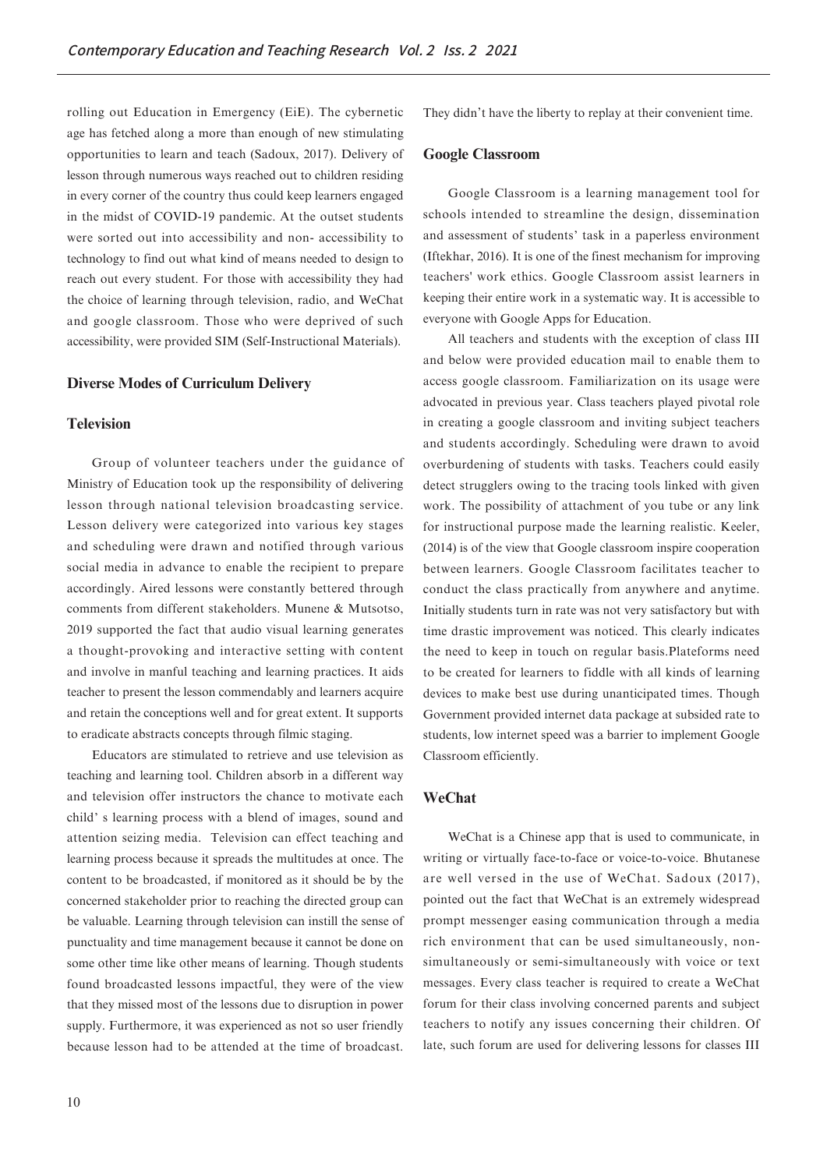rolling out Education in Emergency (EiE). The cybernetic age has fetched along a more than enough of new stimulating opportunities to learn and teach (Sadoux, 2017). Delivery of lesson through numerous ways reached out to children residing in every corner of the country thus could keep learners engaged in the midst of COVID-19 pandemic. At the outset students were sorted out into accessibility and non- accessibility to technology to find out what kind of means needed to design to reach out every student. For those with accessibility they had the choice of learning through television, radio, and WeChat and google classroom. Those who were deprived of such accessibility, were provided SIM (Self-Instructional Materials).

#### **Diverse Modes of Curriculum Delivery**

#### **Television**

Group of volunteer teachers under the guidance of Ministry of Education took up the responsibility of delivering lesson through national television broadcasting service. Lesson delivery were categorized into various key stages and scheduling were drawn and notified through various social media in advance to enable the recipient to prepare accordingly. Aired lessons were constantly bettered through comments from different stakeholders. Munene & Mutsotso, 2019 supported the fact that audio visual learning generates a thought-provoking and interactive setting with content and involve in manful teaching and learning practices. It aids teacher to present the lesson commendably and learners acquire and retain the conceptions well and for great extent. It supports to eradicate abstracts concepts through filmic staging.

Educators are stimulated to retrieve and use television as teaching and learning tool. Children absorb in a different way and television offer instructors the chance to motivate each child' s learning process with a blend of images, sound and attention seizing media. Television can effect teaching and learning process because it spreads the multitudes at once. The content to be broadcasted, if monitored as it should be by the concerned stakeholder prior to reaching the directed group can be valuable. Learning through television can instill the sense of punctuality and time management because it cannot be done on some other time like other means of learning. Though students found broadcasted lessons impactful, they were of the view that they missed most of the lessons due to disruption in power supply. Furthermore, it was experienced as not so user friendly because lesson had to be attended at the time of broadcast. They didn't have the liberty to replay at their convenient time.

#### **Google Classroom**

Google Classroom is a learning management tool for schools intended to streamline the design, dissemination and assessment of students' task in a paperless environment (Iftekhar, 2016). It is one of the finest mechanism for improving teachers' work ethics. Google Classroom assist learners in keeping their entire work in a systematic way. It is accessible to everyone with Google Apps for Education.

All teachers and students with the exception of class III and below were provided education mail to enable them to access google classroom. Familiarization on its usage were advocated in previous year. Class teachers played pivotal role in creating a google classroom and inviting subject teachers and students accordingly. Scheduling were drawn to avoid overburdening of students with tasks. Teachers could easily detect strugglers owing to the tracing tools linked with given work. The possibility of attachment of you tube or any link for instructional purpose made the learning realistic. Keeler, (2014) is of the view that Google classroom inspire cooperation between learners. Google Classroom facilitates teacher to conduct the class practically from anywhere and anytime. Initially students turn in rate was not very satisfactory but with time drastic improvement was noticed. This clearly indicates the need to keep in touch on regular basis.Plateforms need to be created for learners to fiddle with all kinds of learning devices to make best use during unanticipated times. Though Government provided internet data package at subsided rate to students, low internet speed was a barrier to implement Google Classroom efficiently.

#### **WeChat**

WeChat is a Chinese app that is used to communicate, in writing or virtually face-to-face or voice-to-voice. Bhutanese are well versed in the use of WeChat. Sadoux (2017), pointed out the fact that WeChat is an extremely widespread prompt messenger easing communication through a media rich environment that can be used simultaneously, nonsimultaneously or semi-simultaneously with voice or text messages. Every class teacher is required to create a WeChat forum for their class involving concerned parents and subject teachers to notify any issues concerning their children. Of late, such forum are used for delivering lessons for classes III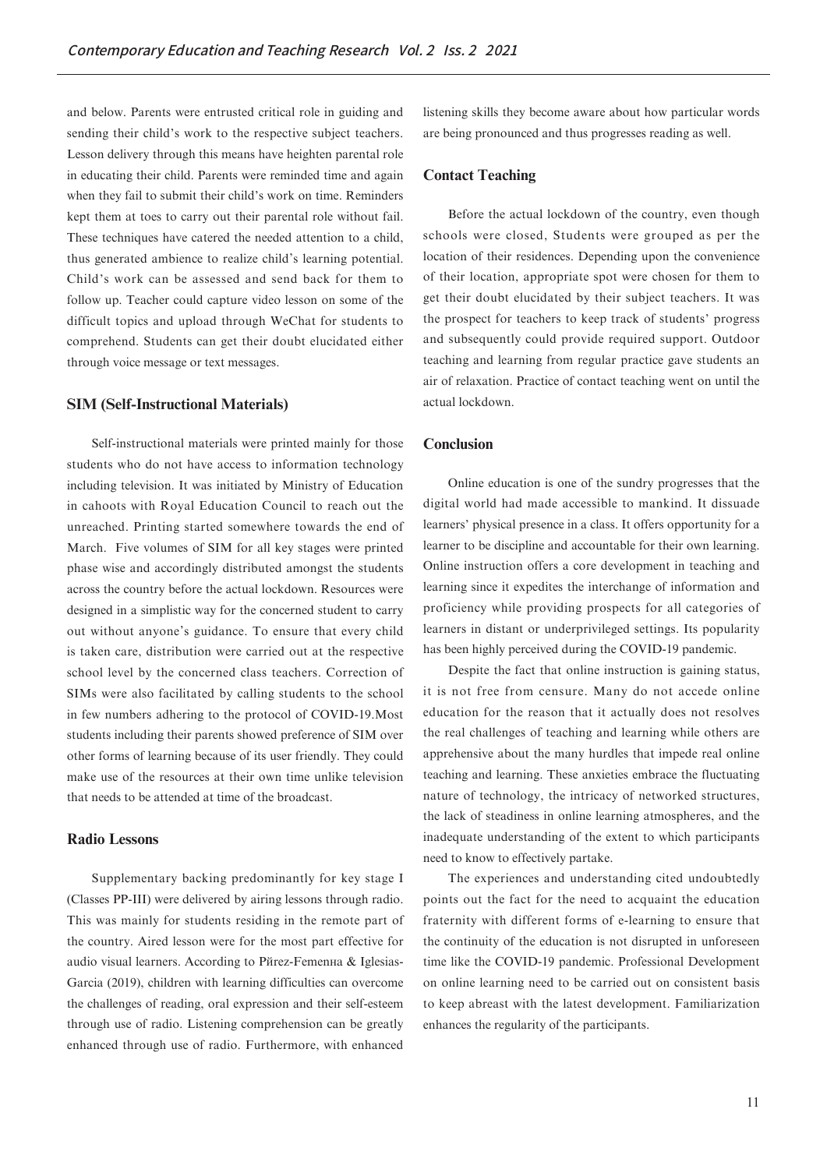and below. Parents were entrusted critical role in guiding and sending their child's work to the respective subject teachers. Lesson delivery through this means have heighten parental role in educating their child. Parents were reminded time and again when they fail to submit their child's work on time. Reminders kept them at toes to carry out their parental role without fail. These techniques have catered the needed attention to a child. thus generated ambience to realize child's learning potential. Child's work can be assessed and send back for them to follow up. Teacher could capture video lesson on some of the difficult topics and upload through WeChat for students to comprehend. Students can get their doubt elucidated either through voice message or text messages.

## **SIM (Self-Instructional Materials)**

Self-instructional materials were printed mainly for those students who do not have access to information technology including television. It was initiated by Ministry of Education in cahoots with Royal Education Council to reach out the unreached. Printing started somewhere towards the end of March. Five volumes of SIM for all key stages were printed phase wise and accordingly distributed amongst the students across the country before the actual lockdown. Resources were designed in a simplistic way for the concerned student to carry out without anyone's guidance. To ensure that every child is taken care, distribution were carried out at the respective school level by the concerned class teachers. Correction of SIMs were also facilitated by calling students to the school in few numbers adhering to the protocol of COVID-19.Most students including their parents showed preference of SIM over other forms of learning because of its user friendly. They could make use of the resources at their own time unlike television that needs to be attended at time of the broadcast.

#### **Radio Lessons**

Supplementary backing predominantly for key stage I (Classes PP-III) were delivered by airing lessons through radio. This was mainly for students residing in the remote part of the country. Aired lesson were for the most part effective for audio visual learners. According to Рйгеz-Femenна & Iglesias-Garcia (2019), children with learning difficulties can overcome the challenges of reading, oral expression and their self-esteem through use of radio. Listening comprehension can be greatly enhanced through use of radio. Furthermore, with enhanced listening skills they become aware about how particular words are being pronounced and thus progresses reading as well.

# **Contact Teaching**

Before the actual lockdown of the country, even though schools were closed, Students were grouped as per the location of their residences. Depending upon the convenience of their location, appropriate spot were chosen for them to get their doubt elucidated by their subject teachers. It was the prospect for teachers to keep track of students' progress and subsequently could provide required support. Outdoor teaching and learning from regular practice gave students an air of relaxation. Practice of contact teaching went on until the actual lockdown.

#### **Conclusion**

Online education is one of the sundry progresses that the digital world had made accessible to mankind. It dissuade learners' physical presence in a class. It offers opportunity for a learner to be discipline and accountable for their own learning. Online instruction offers a core development in teaching and learning since it expedites the interchange of information and proficiency while providing prospects for all categories of learners in distant or underprivileged settings. Its popularity has been highly perceived during the COVID-19 pandemic.

Despite the fact that online instruction is gaining status, it is not free from censure. Many do not accede online education for the reason that it actually does not resolves the real challenges of teaching and learning while others are apprehensive about the many hurdles that impede real online teaching and learning. These anxieties embrace the fluctuating nature of technology, the intricacy of networked structures, the lack of steadiness in online learning atmospheres, and the inadequate understanding of the extent to which participants need to know to effectively partake.

The experiences and understanding cited undoubtedly points out the fact for the need to acquaint the education fraternity with different forms of e-learning to ensure that the continuity of the education is not disrupted in unforeseen time like the COVID-19 pandemic. Professional Development on online learning need to be carried out on consistent basis to keep abreast with the latest development. Familiarization enhances the regularity of the participants.